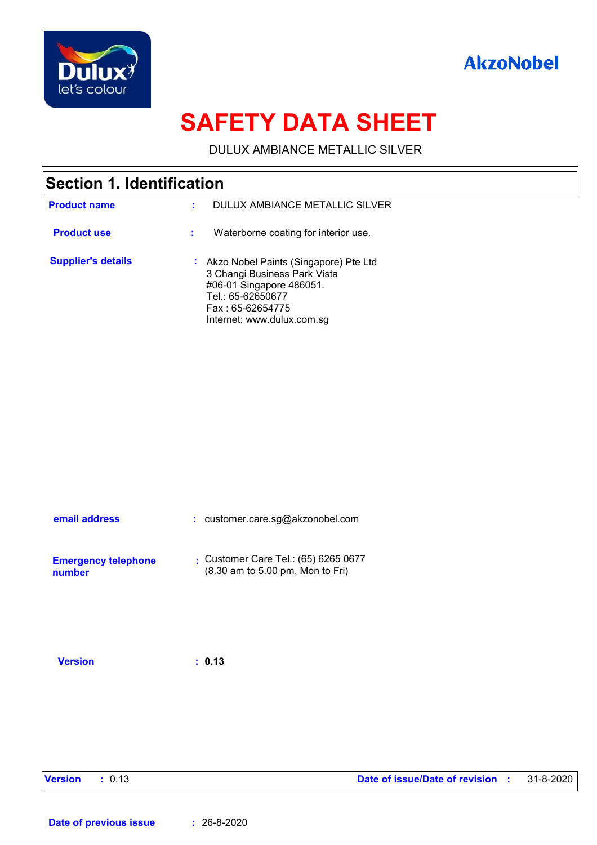



# **SAFETY DATA SHEET**

DULUX AMBIANCE METALLIC SILVER

| <b>Section 1. Identification</b> |    |                                                                                                                                                                          |  |
|----------------------------------|----|--------------------------------------------------------------------------------------------------------------------------------------------------------------------------|--|
| <b>Product name</b>              | t. | DULUX AMBIANCE METALLIC SILVER                                                                                                                                           |  |
| <b>Product use</b>               |    | Waterborne coating for interior use.                                                                                                                                     |  |
| <b>Supplier's details</b>        |    | Akzo Nobel Paints (Singapore) Pte Ltd<br>3 Changi Business Park Vista<br>#06-01 Singapore 486051.<br>Tel.: 65-62650677<br>Fax: 65-62654775<br>Internet: www.dulux.com.sg |  |

| email address              | : customer.care.sg@akzonobel.com     |
|----------------------------|--------------------------------------|
| <b>Emergency telephone</b> | Customer Care Tel.: $(65)$ 6265 0677 |
| number                     | (8.30 am to 5.00 pm, Mon to Fri)     |

**Version : 0.13**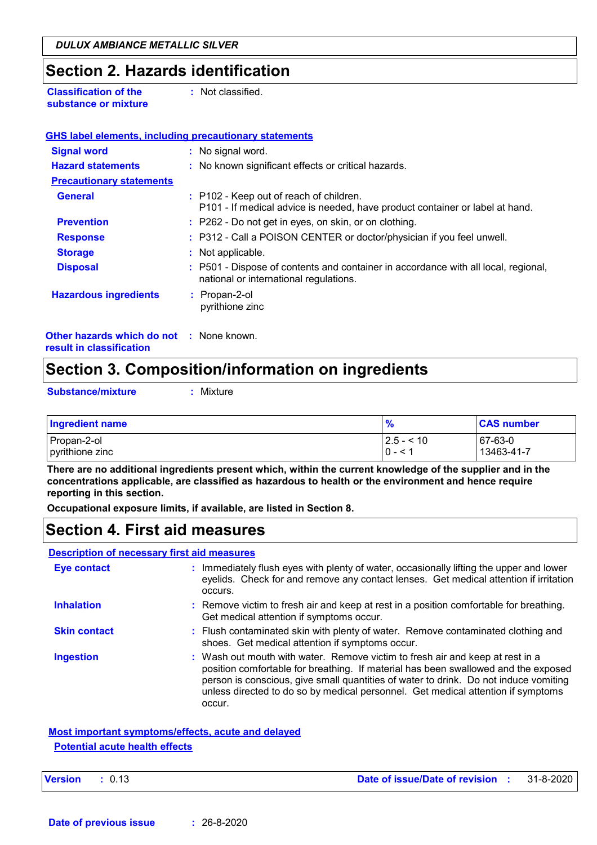### **Section 2. Hazards identification**

**Classification of the substance or mixture** **:** Not classified.

| <b>Signal word</b>                                                          | : No signal word.                                                                                                            |
|-----------------------------------------------------------------------------|------------------------------------------------------------------------------------------------------------------------------|
| <b>Hazard statements</b>                                                    | : No known significant effects or critical hazards.                                                                          |
| <b>Precautionary statements</b>                                             |                                                                                                                              |
| <b>General</b>                                                              | : P102 - Keep out of reach of children.<br>P101 - If medical advice is needed, have product container or label at hand.      |
| <b>Prevention</b>                                                           | : P262 - Do not get in eyes, on skin, or on clothing.                                                                        |
| <b>Response</b>                                                             | : P312 - Call a POISON CENTER or doctor/physician if you feel unwell.                                                        |
| <b>Storage</b>                                                              | : Not applicable.                                                                                                            |
| <b>Disposal</b>                                                             | : P501 - Dispose of contents and container in accordance with all local, regional,<br>national or international regulations. |
| <b>Hazardous ingredients</b>                                                | : Propan-2-ol<br>pyrithione zinc                                                                                             |
| <b>Other hazards which do not : None known.</b><br>result in classification |                                                                                                                              |

## **Section 3. Composition/information on ingredients**

**Substance/mixture :**

Mixture

| <b>Ingredient name</b> | %            | <b>CAS number</b> |
|------------------------|--------------|-------------------|
| Propan-2-ol            | $ 2.5 - 10 $ | $ 67-63-0$        |
| pyrithione zinc        | $0 - 1$      | 13463-41-7        |

**There are no additional ingredients present which, within the current knowledge of the supplier and in the concentrations applicable, are classified as hazardous to health or the environment and hence require reporting in this section.**

**Occupational exposure limits, if available, are listed in Section 8.**

## **Section 4. First aid measures**

#### **Description of necessary first aid measures**

| <b>Eye contact</b>  | : Immediately flush eyes with plenty of water, occasionally lifting the upper and lower<br>eyelids. Check for and remove any contact lenses. Get medical attention if irritation<br>occurs.                                                                                                                                                               |
|---------------------|-----------------------------------------------------------------------------------------------------------------------------------------------------------------------------------------------------------------------------------------------------------------------------------------------------------------------------------------------------------|
| <b>Inhalation</b>   | : Remove victim to fresh air and keep at rest in a position comfortable for breathing.<br>Get medical attention if symptoms occur.                                                                                                                                                                                                                        |
| <b>Skin contact</b> | : Flush contaminated skin with plenty of water. Remove contaminated clothing and<br>shoes. Get medical attention if symptoms occur.                                                                                                                                                                                                                       |
| <b>Ingestion</b>    | : Wash out mouth with water. Remove victim to fresh air and keep at rest in a<br>position comfortable for breathing. If material has been swallowed and the exposed<br>person is conscious, give small quantities of water to drink. Do not induce vomiting<br>unless directed to do so by medical personnel. Get medical attention if symptoms<br>occur. |

#### **Most important symptoms/effects, acute and delayed Potential acute health effects**

| Version |  |  | : 0.13 |
|---------|--|--|--------|
|---------|--|--|--------|

**Version :** 0.13 **Date of issue/Date of revision :** 31-8-2020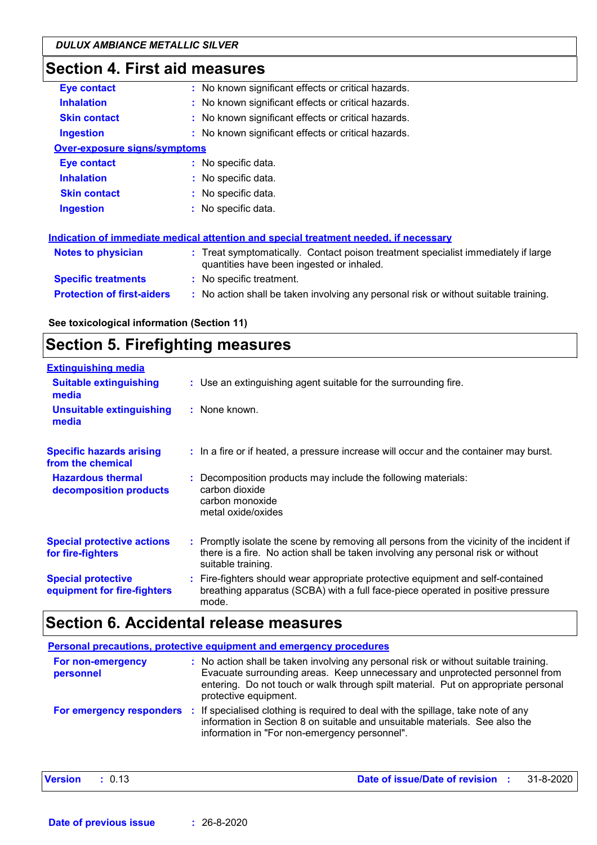# **Section 4. First aid measures**

| <b>Eye contact</b>                  | : No known significant effects or critical hazards.                                                                            |
|-------------------------------------|--------------------------------------------------------------------------------------------------------------------------------|
| <b>Inhalation</b>                   | : No known significant effects or critical hazards.                                                                            |
| <b>Skin contact</b>                 | : No known significant effects or critical hazards.                                                                            |
| <b>Ingestion</b>                    | : No known significant effects or critical hazards.                                                                            |
| <b>Over-exposure signs/symptoms</b> |                                                                                                                                |
| <b>Eye contact</b>                  | : No specific data.                                                                                                            |
| <b>Inhalation</b>                   | : No specific data.                                                                                                            |
| <b>Skin contact</b>                 | : No specific data.                                                                                                            |
| <b>Ingestion</b>                    | : No specific data.                                                                                                            |
|                                     |                                                                                                                                |
|                                     | Indication of immediate medical attention and special treatment needed, if necessary                                           |
| <b>Notes to physician</b>           | : Treat symptomatically. Contact poison treatment specialist immediately if large<br>quantities have been ingested or inhaled. |
| <b>Specific treatments</b>          | : No specific treatment.                                                                                                       |
| <b>Protection of first-aiders</b>   | : No action shall be taken involving any personal risk or without suitable training.                                           |
|                                     |                                                                                                                                |

**See toxicological information (Section 11)**

## **Section 5. Firefighting measures**

| <b>Extinguishing media</b>                               |                                                                                                                                                                                                     |
|----------------------------------------------------------|-----------------------------------------------------------------------------------------------------------------------------------------------------------------------------------------------------|
| <b>Suitable extinguishing</b><br>media                   | : Use an extinguishing agent suitable for the surrounding fire.                                                                                                                                     |
| <b>Unsuitable extinguishing</b><br>media                 | : None known.                                                                                                                                                                                       |
| <b>Specific hazards arising</b><br>from the chemical     | : In a fire or if heated, a pressure increase will occur and the container may burst.                                                                                                               |
| <b>Hazardous thermal</b><br>decomposition products       | : Decomposition products may include the following materials:<br>carbon dioxide<br>carbon monoxide<br>metal oxide/oxides                                                                            |
| <b>Special protective actions</b><br>for fire-fighters   | : Promptly isolate the scene by removing all persons from the vicinity of the incident if<br>there is a fire. No action shall be taken involving any personal risk or without<br>suitable training. |
| <b>Special protective</b><br>equipment for fire-fighters | : Fire-fighters should wear appropriate protective equipment and self-contained<br>breathing apparatus (SCBA) with a full face-piece operated in positive pressure<br>mode.                         |

## **Section 6. Accidental release measures**

|                                | <b>Personal precautions, protective equipment and emergency procedures</b>                                                                                                                                                                                                         |
|--------------------------------|------------------------------------------------------------------------------------------------------------------------------------------------------------------------------------------------------------------------------------------------------------------------------------|
| For non-emergency<br>personnel | : No action shall be taken involving any personal risk or without suitable training.<br>Evacuate surrounding areas. Keep unnecessary and unprotected personnel from<br>entering. Do not touch or walk through spilt material. Put on appropriate personal<br>protective equipment. |
| For emergency responders       | If specialised clothing is required to deal with the spillage, take note of any<br>-11<br>information in Section 8 on suitable and unsuitable materials. See also the<br>information in "For non-emergency personnel".                                                             |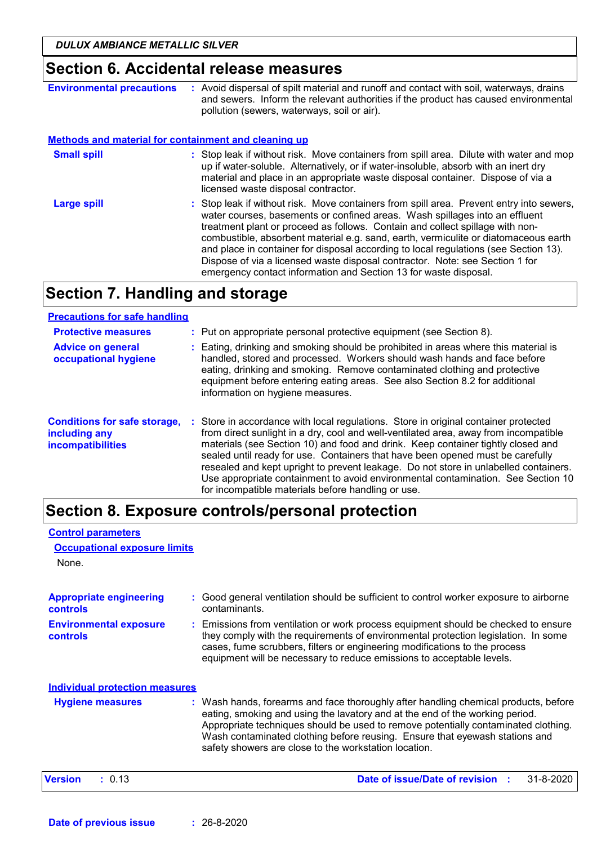## **Section 6. Accidental release measures**

| <b>Environmental precautions</b>                            | : Avoid dispersal of spilt material and runoff and contact with soil, waterways, drains<br>and sewers. Inform the relevant authorities if the product has caused environmental<br>pollution (sewers, waterways, soil or air).                                                                                                                                                                                                                                                                                                                                                               |
|-------------------------------------------------------------|---------------------------------------------------------------------------------------------------------------------------------------------------------------------------------------------------------------------------------------------------------------------------------------------------------------------------------------------------------------------------------------------------------------------------------------------------------------------------------------------------------------------------------------------------------------------------------------------|
| <b>Methods and material for containment and cleaning up</b> |                                                                                                                                                                                                                                                                                                                                                                                                                                                                                                                                                                                             |
| <b>Small spill</b>                                          | : Stop leak if without risk. Move containers from spill area. Dilute with water and mop<br>up if water-soluble. Alternatively, or if water-insoluble, absorb with an inert dry<br>material and place in an appropriate waste disposal container. Dispose of via a<br>licensed waste disposal contractor.                                                                                                                                                                                                                                                                                    |
| <b>Large spill</b>                                          | : Stop leak if without risk. Move containers from spill area. Prevent entry into sewers,<br>water courses, basements or confined areas. Wash spillages into an effluent<br>treatment plant or proceed as follows. Contain and collect spillage with non-<br>combustible, absorbent material e.g. sand, earth, vermiculite or diatomaceous earth<br>and place in container for disposal according to local regulations (see Section 13).<br>Dispose of via a licensed waste disposal contractor. Note: see Section 1 for<br>emergency contact information and Section 13 for waste disposal. |

### **Section 7. Handling and storage**

#### **Advice on general occupational hygiene Conditions for safe storage, : Store in accordance with local regulations. Store in original container protected including any incompatibilities** Eating, drinking and smoking should be prohibited in areas where this material is **:** handled, stored and processed. Workers should wash hands and face before eating, drinking and smoking. Remove contaminated clothing and protective equipment before entering eating areas. See also Section 8.2 for additional information on hygiene measures. from direct sunlight in a dry, cool and well-ventilated area, away from incompatible materials (see Section 10) and food and drink. Keep container tightly closed and sealed until ready for use. Containers that have been opened must be carefully resealed and kept upright to prevent leakage. Do not store in unlabelled containers. Use appropriate containment to avoid environmental contamination. See Section 10 for incompatible materials before handling or use. **Protective measures : Put on appropriate personal protective equipment (see Section 8). Precautions for safe handling**

## **Section 8. Exposure controls/personal protection**

#### None. **Environmental exposure controls :** Emissions from ventilation or work process equipment should be checked to ensure they comply with the requirements of environmental protection legislation. In some cases, fume scrubbers, filters or engineering modifications to the process equipment will be necessary to reduce emissions to acceptable levels. **Appropriate engineering controls :** Good general ventilation should be sufficient to control worker exposure to airborne contaminants. Wash hands, forearms and face thoroughly after handling chemical products, before eating, smoking and using the lavatory and at the end of the working period. Appropriate techniques should be used to remove potentially contaminated clothing. Wash contaminated clothing before reusing. Ensure that eyewash stations and safety showers are close to the workstation location. **Hygiene measures : Control parameters Individual protection measures Occupational exposure limits Version :** 0.13 **Date of issue/Date of revision :** 31-8-2020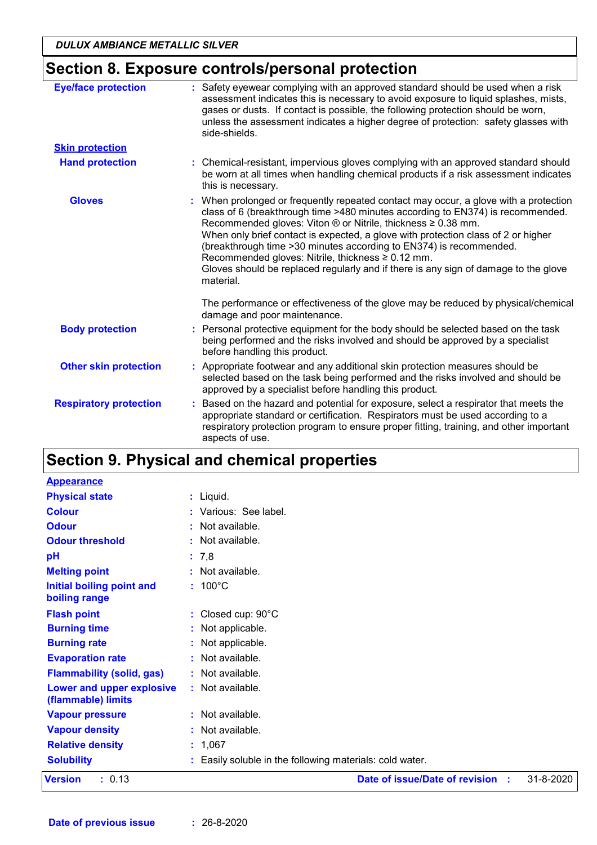## **Section 8. Exposure controls/personal protection**

| <b>Eye/face protection</b>    | : Safety eyewear complying with an approved standard should be used when a risk<br>assessment indicates this is necessary to avoid exposure to liquid splashes, mists,<br>gases or dusts. If contact is possible, the following protection should be worn,<br>unless the assessment indicates a higher degree of protection: safety glasses with<br>side-shields.                                                                                                                                                                                         |
|-------------------------------|-----------------------------------------------------------------------------------------------------------------------------------------------------------------------------------------------------------------------------------------------------------------------------------------------------------------------------------------------------------------------------------------------------------------------------------------------------------------------------------------------------------------------------------------------------------|
| <b>Skin protection</b>        |                                                                                                                                                                                                                                                                                                                                                                                                                                                                                                                                                           |
| <b>Hand protection</b>        | : Chemical-resistant, impervious gloves complying with an approved standard should<br>be worn at all times when handling chemical products if a risk assessment indicates<br>this is necessary.                                                                                                                                                                                                                                                                                                                                                           |
| <b>Gloves</b>                 | When prolonged or frequently repeated contact may occur, a glove with a protection<br>class of 6 (breakthrough time >480 minutes according to EN374) is recommended.<br>Recommended gloves: Viton ® or Nitrile, thickness ≥ 0.38 mm.<br>When only brief contact is expected, a glove with protection class of 2 or higher<br>(breakthrough time > 30 minutes according to EN374) is recommended.<br>Recommended gloves: Nitrile, thickness ≥ 0.12 mm.<br>Gloves should be replaced regularly and if there is any sign of damage to the glove<br>material. |
|                               | The performance or effectiveness of the glove may be reduced by physical/chemical<br>damage and poor maintenance.                                                                                                                                                                                                                                                                                                                                                                                                                                         |
| <b>Body protection</b>        | Personal protective equipment for the body should be selected based on the task<br>being performed and the risks involved and should be approved by a specialist<br>before handling this product.                                                                                                                                                                                                                                                                                                                                                         |
| <b>Other skin protection</b>  | Appropriate footwear and any additional skin protection measures should be<br>selected based on the task being performed and the risks involved and should be<br>approved by a specialist before handling this product.                                                                                                                                                                                                                                                                                                                                   |
| <b>Respiratory protection</b> | Based on the hazard and potential for exposure, select a respirator that meets the<br>appropriate standard or certification. Respirators must be used according to a<br>respiratory protection program to ensure proper fitting, training, and other important<br>aspects of use.                                                                                                                                                                                                                                                                         |

## **Section 9. Physical and chemical properties**

| <b>Physical state</b><br>: Liquid.<br><b>Colour</b><br>: Various: See label. |           |
|------------------------------------------------------------------------------|-----------|
|                                                                              |           |
|                                                                              |           |
| <b>Odour</b><br>: Not available.                                             |           |
| : Not available.<br><b>Odour threshold</b>                                   |           |
| pH<br>: 7,8                                                                  |           |
| <b>Melting point</b><br>: Not available.                                     |           |
| $: 100^{\circ}$ C<br><b>Initial boiling point and</b><br>boiling range       |           |
| : Closed cup: 90°C<br><b>Flash point</b>                                     |           |
| <b>Burning time</b><br>: Not applicable.                                     |           |
| <b>Burning rate</b><br>: Not applicable.                                     |           |
| Not available.<br><b>Evaporation rate</b><br>t.                              |           |
| : Not available.<br><b>Flammability (solid, gas)</b>                         |           |
| Lower and upper explosive<br>: Not available.<br>(flammable) limits          |           |
| : Not available.<br><b>Vapour pressure</b>                                   |           |
| <b>Vapour density</b><br>Not available.                                      |           |
| <b>Relative density</b><br>: 1,067                                           |           |
| <b>Solubility</b><br>Easily soluble in the following materials: cold water.  |           |
| Date of issue/Date of revision :<br>: 0.13<br><b>Version</b>                 | 31-8-2020 |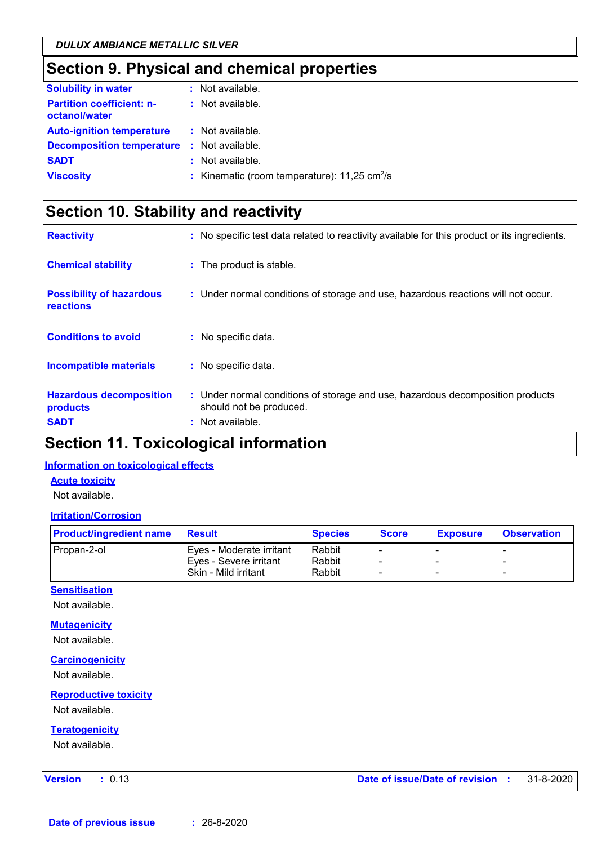## **Section 9. Physical and chemical properties**

| <b>Solubility in water</b>                        | : Not available.                                           |
|---------------------------------------------------|------------------------------------------------------------|
| <b>Partition coefficient: n-</b><br>octanol/water | $:$ Not available.                                         |
| <b>Auto-ignition temperature</b>                  | : Not available.                                           |
| <b>Decomposition temperature</b>                  | : Not available.                                           |
| <b>SADT</b>                                       | : Not available.                                           |
| <b>Viscosity</b>                                  | : Kinematic (room temperature): $11,25$ cm <sup>2</sup> /s |
|                                                   |                                                            |

## **Section 10. Stability and reactivity**

| <b>Reactivity</b>                                   | : No specific test data related to reactivity available for this product or its ingredients.              |
|-----------------------------------------------------|-----------------------------------------------------------------------------------------------------------|
| <b>Chemical stability</b>                           | : The product is stable.                                                                                  |
| <b>Possibility of hazardous</b><br><b>reactions</b> | : Under normal conditions of storage and use, hazardous reactions will not occur.                         |
| <b>Conditions to avoid</b>                          | : No specific data.                                                                                       |
| <b>Incompatible materials</b>                       | : No specific data.                                                                                       |
| <b>Hazardous decomposition</b><br>products          | : Under normal conditions of storage and use, hazardous decomposition products<br>should not be produced. |
| <b>SADT</b>                                         | : Not available.                                                                                          |

## **Section 11. Toxicological information**

#### **Information on toxicological effects**

#### **Acute toxicity**

Not available.

#### **Irritation/Corrosion**

| <b>Product/ingredient name</b> | Result                   | <b>Species</b> | <b>Score</b> | <b>Exposure</b> | <b>Observation</b> |
|--------------------------------|--------------------------|----------------|--------------|-----------------|--------------------|
| Propan-2-ol                    | Eyes - Moderate irritant | Rabbit         |              |                 |                    |
|                                | Eyes - Severe irritant   | Rabbit         |              |                 |                    |
|                                | Skin - Mild irritant     | Rabbit         |              |                 |                    |

#### **Sensitisation**

Not available.

#### **Mutagenicity**

Not available.

#### **Carcinogenicity**

Not available.

#### **Reproductive toxicity**

Not available.

#### **Teratogenicity**

Not available.

| Version |  |  |  |  | 0.13 |  |
|---------|--|--|--|--|------|--|
|---------|--|--|--|--|------|--|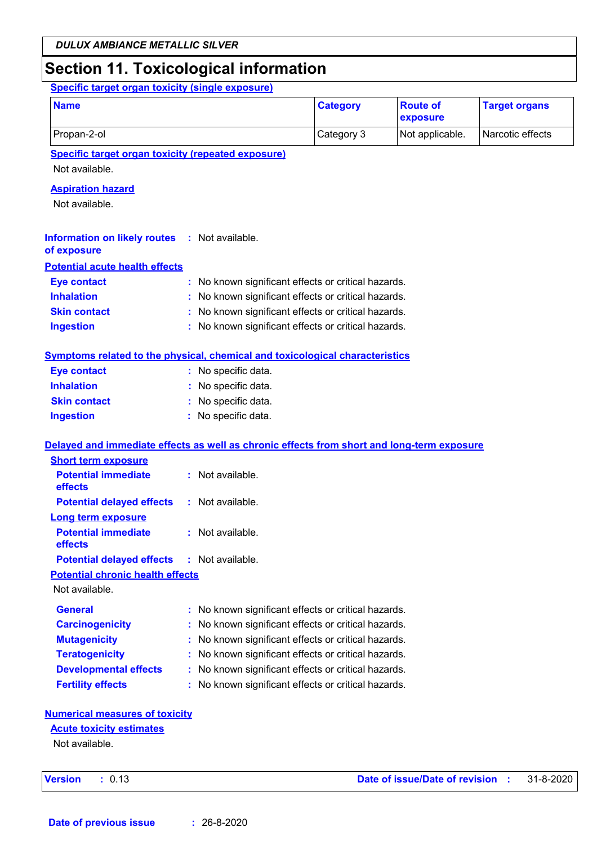## **Section 11. Toxicological information**

**Specific target organ toxicity (single exposure)**

| <b>Name</b> | <b>Category</b> | <b>Route of</b><br>exposure | <b>Target organs</b> |
|-------------|-----------------|-----------------------------|----------------------|
| Propan-2-ol | Category 3      | Not applicable.             | Narcotic effects     |

**Specific target organ toxicity (repeated exposure)**

Not available.

#### **Aspiration hazard**

Not available.

| <b>Information on likely routes : Not available.</b><br>of exposure |                                                     |
|---------------------------------------------------------------------|-----------------------------------------------------|
| <b>Potential acute health effects</b>                               |                                                     |
| <b>Eye contact</b>                                                  | : No known significant effects or critical hazards. |
| <b>Inhalation</b>                                                   | : No known significant effects or critical hazards. |
| <b>Skin contact</b>                                                 | : No known significant effects or critical hazards. |
| <b>Ingestion</b>                                                    | : No known significant effects or critical hazards. |

#### **Symptoms related to the physical, chemical and toxicological characteristics**

| <b>Eye contact</b>  | : No specific data. |
|---------------------|---------------------|
| <b>Inhalation</b>   | : No specific data. |
| <b>Skin contact</b> | : No specific data. |
| <b>Ingestion</b>    | : No specific data. |

#### **Delayed and immediate effects as well as chronic effects from short and long-term exposure**

| <b>Short term exposure</b>                        |                    |
|---------------------------------------------------|--------------------|
| <b>Potential immediate</b><br>effects             | $:$ Not available. |
| <b>Potential delayed effects</b>                  | : Not available.   |
| Long term exposure                                |                    |
| <b>Potential immediate</b><br>effects             | $:$ Not available. |
| <b>Potential delayed effects : Not available.</b> |                    |
| <b>Potential chronic health effects</b>           |                    |
| Not available.                                    |                    |

| <b>General</b>               | : No known significant effects or critical hazards. |
|------------------------------|-----------------------------------------------------|
| <b>Carcinogenicity</b>       | : No known significant effects or critical hazards. |
| <b>Mutagenicity</b>          | : No known significant effects or critical hazards. |
| <b>Teratogenicity</b>        | : No known significant effects or critical hazards. |
| <b>Developmental effects</b> | : No known significant effects or critical hazards. |
| <b>Fertility effects</b>     | : No known significant effects or critical hazards. |

#### **Numerical measures of toxicity**

#### **Acute toxicity estimates**

Not available.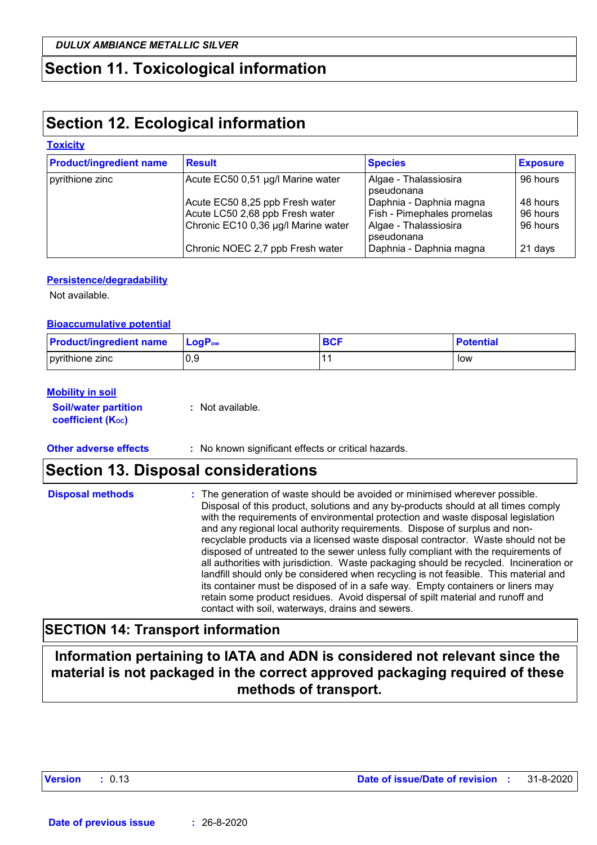## **Section 11. Toxicological information**

## **Section 12. Ecological information**

#### **Toxicity**

| <b>Product/ingredient name</b> | <b>Result</b>                       | <b>Species</b>                      | <b>Exposure</b> |
|--------------------------------|-------------------------------------|-------------------------------------|-----------------|
| pyrithione zinc                | Acute EC50 0,51 µg/l Marine water   | Algae - Thalassiosira<br>pseudonana | 96 hours        |
|                                | Acute EC50 8,25 ppb Fresh water     | Daphnia - Daphnia magna             | 48 hours        |
|                                | Acute LC50 2,68 ppb Fresh water     | Fish - Pimephales promelas          | 96 hours        |
|                                | Chronic EC10 0,36 µg/l Marine water | Algae - Thalassiosira<br>pseudonana | 96 hours        |
|                                | Chronic NOEC 2,7 ppb Fresh water    | Daphnia - Daphnia magna             | 21 days         |

#### **Persistence/degradability**

Not available.

#### **Bioaccumulative potential**

| <b>Product/ingredient name</b> | <b>LogP</b> <sub>ow</sub> | <b>BC<sub>L</sub></b> | <b>Potential</b> |
|--------------------------------|---------------------------|-----------------------|------------------|
| pyrithione zinc                | 0.9                       |                       | low              |

#### **Mobility in soil**

| <b>Soil/water partition</b> |  |
|-----------------------------|--|
| <b>coefficient (Koc)</b>    |  |

**:** Not available.

**Other adverse effects** : No known significant effects or critical hazards.

## **Section 13. Disposal considerations**

| <b>Disposal methods</b> | : The generation of waste should be avoided or minimised wherever possible.<br>Disposal of this product, solutions and any by-products should at all times comply<br>with the requirements of environmental protection and waste disposal legislation<br>and any regional local authority requirements. Dispose of surplus and non-<br>recyclable products via a licensed waste disposal contractor. Waste should not be<br>disposed of untreated to the sewer unless fully compliant with the requirements of<br>all authorities with jurisdiction. Waste packaging should be recycled. Incineration or<br>landfill should only be considered when recycling is not feasible. This material and<br>its container must be disposed of in a safe way. Empty containers or liners may |
|-------------------------|-------------------------------------------------------------------------------------------------------------------------------------------------------------------------------------------------------------------------------------------------------------------------------------------------------------------------------------------------------------------------------------------------------------------------------------------------------------------------------------------------------------------------------------------------------------------------------------------------------------------------------------------------------------------------------------------------------------------------------------------------------------------------------------|
|                         | retain some product residues. Avoid dispersal of spilt material and runoff and<br>contact with soil, waterways, drains and sewers.                                                                                                                                                                                                                                                                                                                                                                                                                                                                                                                                                                                                                                                  |

### **SECTION 14: Transport information**

**Information pertaining to IATA and ADN is considered not relevant since the material is not packaged in the correct approved packaging required of these methods of transport.**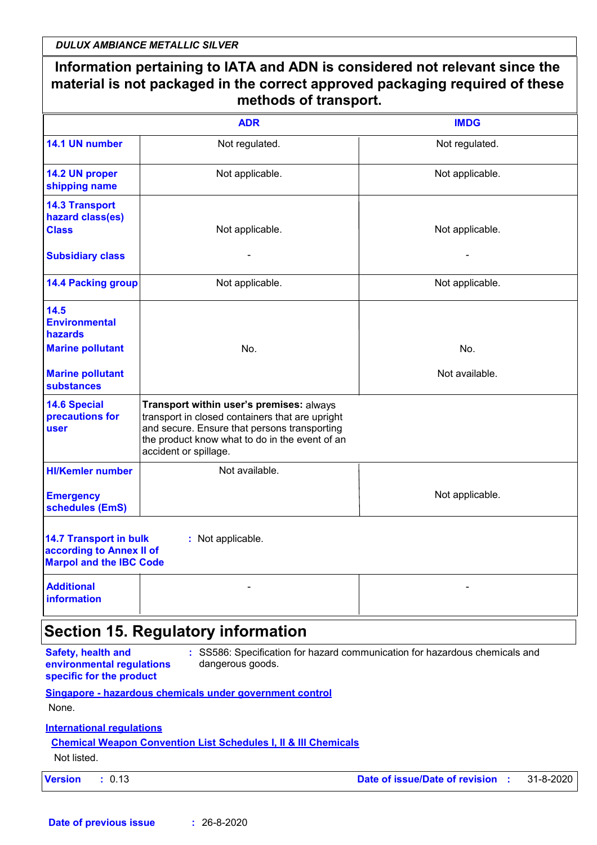*DULUX AMBIANCE METALLIC SILVER*

|                                                                                             | <b>ADR</b>                                                                                                                                                                                                             | <b>IMDG</b>     |
|---------------------------------------------------------------------------------------------|------------------------------------------------------------------------------------------------------------------------------------------------------------------------------------------------------------------------|-----------------|
| 14.1 UN number                                                                              | Not regulated.                                                                                                                                                                                                         | Not regulated.  |
| 14.2 UN proper<br>shipping name                                                             | Not applicable.                                                                                                                                                                                                        | Not applicable. |
| <b>14.3 Transport</b><br>hazard class(es)<br><b>Class</b>                                   | Not applicable.                                                                                                                                                                                                        | Not applicable. |
| <b>Subsidiary class</b>                                                                     |                                                                                                                                                                                                                        |                 |
| <b>14.4 Packing group</b>                                                                   | Not applicable.                                                                                                                                                                                                        | Not applicable. |
| 14.5<br><b>Environmental</b><br>hazards<br><b>Marine pollutant</b>                          | No.                                                                                                                                                                                                                    | No.             |
| <b>Marine pollutant</b>                                                                     |                                                                                                                                                                                                                        | Not available.  |
| <b>substances</b>                                                                           |                                                                                                                                                                                                                        |                 |
| <b>14.6 Special</b><br>precautions for<br>user                                              | Transport within user's premises: always<br>transport in closed containers that are upright<br>and secure. Ensure that persons transporting<br>the product know what to do in the event of an<br>accident or spillage. |                 |
| <b>HI/Kemler number</b>                                                                     | Not available.                                                                                                                                                                                                         |                 |
| <b>Emergency</b><br>schedules (EmS)                                                         |                                                                                                                                                                                                                        | Not applicable. |
| <b>14.7 Transport in bulk</b><br>according to Annex II of<br><b>Marpol and the IBC Code</b> | : Not applicable.                                                                                                                                                                                                      |                 |
| <b>Additional</b><br>information                                                            |                                                                                                                                                                                                                        |                 |
|                                                                                             | <b>Section 15. Regulatory information</b>                                                                                                                                                                              |                 |

**Singapore - hazardous chemicals under government control** None.

**International regulations**

#### **Chemical Weapon Convention List Schedules I, II & III Chemicals**

Not listed.

| <b>Version</b> |  | 0.13 |
|----------------|--|------|
|----------------|--|------|

**Version :** 0.13 **Date of issue/Date of revision :** 31-8-2020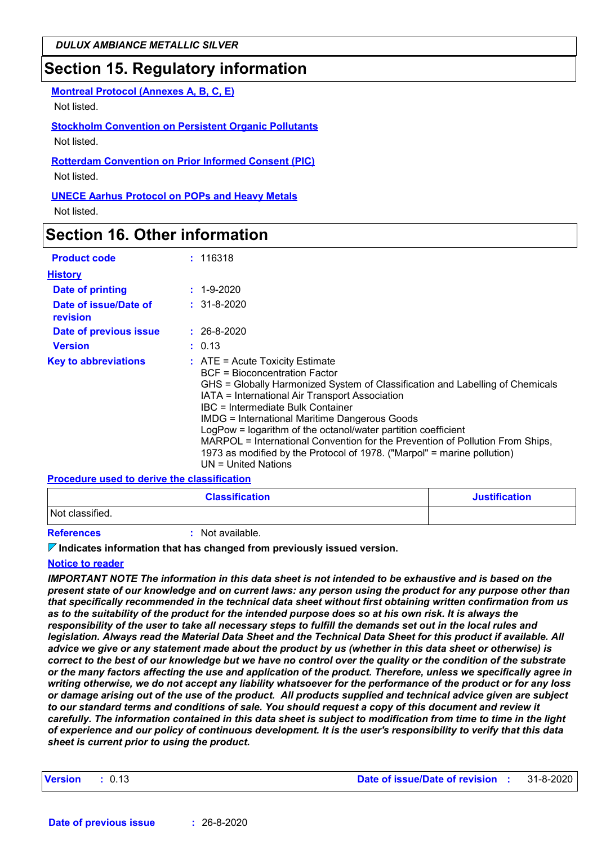## **Section 15. Regulatory information**

**Montreal Protocol (Annexes A, B, C, E)**

Not listed.

**Stockholm Convention on Persistent Organic Pollutants** Not listed.

**Rotterdam Convention on Prior Informed Consent (PIC)** Not listed.

**UNECE Aarhus Protocol on POPs and Heavy Metals** Not listed.

## **Section 16. Other information**

| <b>Product code</b>               | : 116318                                                                                                                                                                                                                                                                                                                                                                                                                                                                                                                                                        |
|-----------------------------------|-----------------------------------------------------------------------------------------------------------------------------------------------------------------------------------------------------------------------------------------------------------------------------------------------------------------------------------------------------------------------------------------------------------------------------------------------------------------------------------------------------------------------------------------------------------------|
| <b>History</b>                    |                                                                                                                                                                                                                                                                                                                                                                                                                                                                                                                                                                 |
| Date of printing                  | $: 1 - 9 - 2020$                                                                                                                                                                                                                                                                                                                                                                                                                                                                                                                                                |
| Date of issue/Date of<br>revision | $: 31 - 8 - 2020$                                                                                                                                                                                                                                                                                                                                                                                                                                                                                                                                               |
| Date of previous issue            | $: 26 - 8 - 2020$                                                                                                                                                                                                                                                                                                                                                                                                                                                                                                                                               |
| <b>Version</b>                    | : 0.13                                                                                                                                                                                                                                                                                                                                                                                                                                                                                                                                                          |
| <b>Key to abbreviations</b>       | $\therefore$ ATE = Acute Toxicity Estimate<br>BCF = Bioconcentration Factor<br>GHS = Globally Harmonized System of Classification and Labelling of Chemicals<br>IATA = International Air Transport Association<br>IBC = Intermediate Bulk Container<br><b>IMDG = International Maritime Dangerous Goods</b><br>LogPow = logarithm of the octanol/water partition coefficient<br>MARPOL = International Convention for the Prevention of Pollution From Ships,<br>1973 as modified by the Protocol of 1978. ("Marpol" = marine pollution)<br>UN = United Nations |

#### **Procedure used to derive the classification**

| <b>Classification</b>   | <b>Justification</b> |
|-------------------------|----------------------|
| Not classified.         |                      |
| $\sim$ $\sim$<br>.<br>. |                      |

**References :** Not available.

#### **Indicates information that has changed from previously issued version.**

#### **Notice to reader**

*IMPORTANT NOTE The information in this data sheet is not intended to be exhaustive and is based on the present state of our knowledge and on current laws: any person using the product for any purpose other than that specifically recommended in the technical data sheet without first obtaining written confirmation from us as to the suitability of the product for the intended purpose does so at his own risk. It is always the responsibility of the user to take all necessary steps to fulfill the demands set out in the local rules and legislation. Always read the Material Data Sheet and the Technical Data Sheet for this product if available. All advice we give or any statement made about the product by us (whether in this data sheet or otherwise) is correct to the best of our knowledge but we have no control over the quality or the condition of the substrate or the many factors affecting the use and application of the product. Therefore, unless we specifically agree in writing otherwise, we do not accept any liability whatsoever for the performance of the product or for any loss or damage arising out of the use of the product. All products supplied and technical advice given are subject to our standard terms and conditions of sale. You should request a copy of this document and review it carefully. The information contained in this data sheet is subject to modification from time to time in the light of experience and our policy of continuous development. It is the user's responsibility to verify that this data sheet is current prior to using the product.*